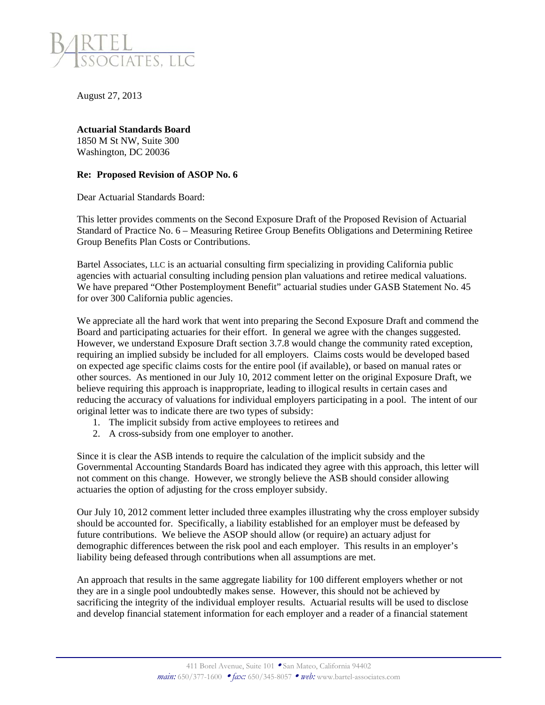

August 27, 2013

**Actuarial Standards Board**  1850 M St NW, Suite 300 Washington, DC 20036

## **Re: Proposed Revision of ASOP No. 6**

Dear Actuarial Standards Board:

This letter provides comments on the Second Exposure Draft of the Proposed Revision of Actuarial Standard of Practice No. 6 – Measuring Retiree Group Benefits Obligations and Determining Retiree Group Benefits Plan Costs or Contributions.

Bartel Associates, LLC is an actuarial consulting firm specializing in providing California public agencies with actuarial consulting including pension plan valuations and retiree medical valuations. We have prepared "Other Postemployment Benefit" actuarial studies under GASB Statement No. 45 for over 300 California public agencies.

We appreciate all the hard work that went into preparing the Second Exposure Draft and commend the Board and participating actuaries for their effort. In general we agree with the changes suggested. However, we understand Exposure Draft section 3.7.8 would change the community rated exception, requiring an implied subsidy be included for all employers. Claims costs would be developed based on expected age specific claims costs for the entire pool (if available), or based on manual rates or other sources. As mentioned in our July 10, 2012 comment letter on the original Exposure Draft, we believe requiring this approach is inappropriate, leading to illogical results in certain cases and reducing the accuracy of valuations for individual employers participating in a pool. The intent of our original letter was to indicate there are two types of subsidy:

- 1. The implicit subsidy from active employees to retirees and
- 2. A cross-subsidy from one employer to another.

Since it is clear the ASB intends to require the calculation of the implicit subsidy and the Governmental Accounting Standards Board has indicated they agree with this approach, this letter will not comment on this change. However, we strongly believe the ASB should consider allowing actuaries the option of adjusting for the cross employer subsidy.

Our July 10, 2012 comment letter included three examples illustrating why the cross employer subsidy should be accounted for. Specifically, a liability established for an employer must be defeased by future contributions. We believe the ASOP should allow (or require) an actuary adjust for demographic differences between the risk pool and each employer. This results in an employer's liability being defeased through contributions when all assumptions are met.

An approach that results in the same aggregate liability for 100 different employers whether or not they are in a single pool undoubtedly makes sense. However, this should not be achieved by sacrificing the integrity of the individual employer results. Actuarial results will be used to disclose and develop financial statement information for each employer and a reader of a financial statement